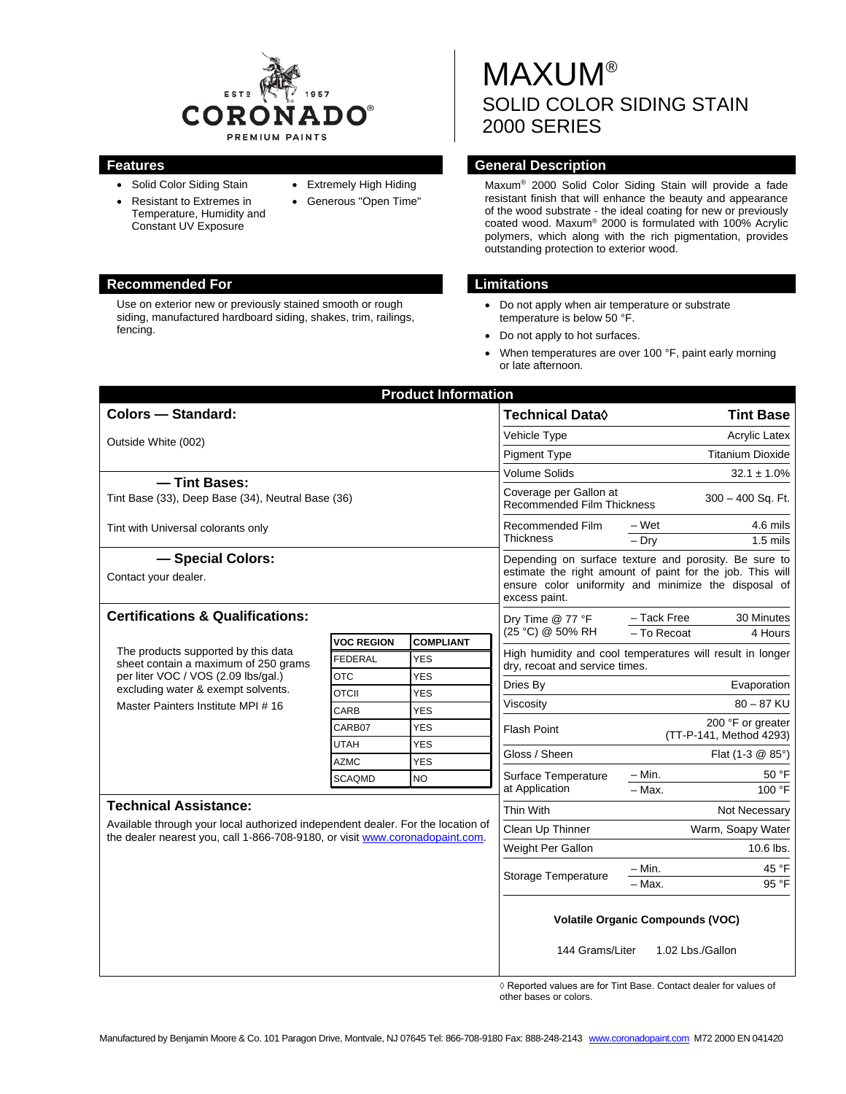

Use on exterior new or previously stained smooth or rough siding, manufactured hardboard siding, shakes, trim, railings,

fencing.

• Solid Color Siding Stain • Resistant to Extremes in

> Temperature, Humidity and Constant UV Exposure

- Extremely High Hiding
- Generous "Open Time"

# **MAXUM®** SOLID COLOR SIDING STAIN 2000 SERIES

# **Features General Description**

Maxum® 2000 Solid Color Siding Stain will provide a fade resistant finish that will enhance the beauty and appearance of the wood substrate - the ideal coating for new or previously coated wood. Maxum® 2000 is formulated with 100% Acrylic polymers, which along with the rich pigmentation, provides outstanding protection to exterior wood.

### **Recommended For Limitations**

- Do not apply when air temperature or substrate temperature is below 50 °F.
- Do not apply to hot surfaces.
- When temperatures are over 100 °F, paint early morning or late afternoon.

| <b>Product Information</b>                                                                                                                                                                     |                   |                  |                                                                                                                                    |                                              |                        |  |
|------------------------------------------------------------------------------------------------------------------------------------------------------------------------------------------------|-------------------|------------------|------------------------------------------------------------------------------------------------------------------------------------|----------------------------------------------|------------------------|--|
| <b>Colors - Standard:</b>                                                                                                                                                                      |                   |                  | <b>Technical Data</b> ♦                                                                                                            | <b>Tint Base</b>                             |                        |  |
| Outside White (002)                                                                                                                                                                            |                   |                  | Vehicle Type                                                                                                                       | <b>Acrylic Latex</b>                         |                        |  |
|                                                                                                                                                                                                |                   |                  | <b>Pigment Type</b>                                                                                                                | <b>Titanium Dioxide</b>                      |                        |  |
|                                                                                                                                                                                                |                   |                  | <b>Volume Solids</b>                                                                                                               | $32.1 \pm 1.0\%$                             |                        |  |
| - Tint Bases:<br>Tint Base (33), Deep Base (34), Neutral Base (36)                                                                                                                             |                   |                  | Coverage per Gallon at<br><b>Recommended Film Thickness</b>                                                                        | 300 - 400 Sq. Ft.                            |                        |  |
| Tint with Universal colorants only                                                                                                                                                             |                   |                  | <b>Recommended Film</b><br><b>Thickness</b>                                                                                        | – Wet<br>$-$ Dry                             | 4.6 mils<br>$1.5$ mils |  |
| - Special Colors:                                                                                                                                                                              |                   |                  | Depending on surface texture and porosity. Be sure to                                                                              |                                              |                        |  |
| Contact your dealer.                                                                                                                                                                           |                   |                  | estimate the right amount of paint for the job. This will<br>ensure color uniformity and minimize the disposal of<br>excess paint. |                                              |                        |  |
| <b>Certifications &amp; Qualifications:</b>                                                                                                                                                    |                   |                  | Dry Time @ 77 °F                                                                                                                   | - Tack Free                                  | 30 Minutes             |  |
|                                                                                                                                                                                                | <b>VOC REGION</b> | <b>COMPLIANT</b> | (25 °C) @ 50% RH                                                                                                                   | - To Recoat                                  | 4 Hours                |  |
| The products supported by this data<br>sheet contain a maximum of 250 grams<br>per liter VOC / VOS (2.09 lbs/gal.)<br>excluding water & exempt solvents.<br>Master Painters Institute MPI # 16 | <b>FEDERAL</b>    | <b>YES</b>       | High humidity and cool temperatures will result in longer                                                                          |                                              |                        |  |
|                                                                                                                                                                                                | <b>OTC</b>        | <b>YES</b>       |                                                                                                                                    | dry, recoat and service times.               |                        |  |
|                                                                                                                                                                                                | <b>OTCII</b>      | <b>YES</b>       | Dries By                                                                                                                           | Evaporation                                  |                        |  |
|                                                                                                                                                                                                | CARB              | <b>YES</b>       | Viscosity                                                                                                                          |                                              | $80 - 87$ KU           |  |
|                                                                                                                                                                                                | CARB07            | <b>YES</b>       | <b>Flash Point</b>                                                                                                                 | 200 °F or greater<br>(TT-P-141, Method 4293) |                        |  |
|                                                                                                                                                                                                | <b>UTAH</b>       | <b>YES</b>       | Gloss / Sheen                                                                                                                      |                                              | Flat (1-3 @ 85°)       |  |
|                                                                                                                                                                                                | <b>AZMC</b>       | <b>YES</b>       |                                                                                                                                    |                                              |                        |  |
|                                                                                                                                                                                                | <b>SCAQMD</b>     | <b>NO</b>        | Surface Temperature<br>at Application                                                                                              | $- Min.$<br>$-$ Max.                         | 50 °F<br>100 °F        |  |
| <b>Technical Assistance:</b>                                                                                                                                                                   |                   |                  | Thin With                                                                                                                          |                                              | Not Necessary          |  |
| Available through your local authorized independent dealer. For the location of<br>the dealer nearest you, call 1-866-708-9180, or visit www.coronadopaint.com.                                |                   |                  | Clean Up Thinner                                                                                                                   |                                              | Warm, Soapy Water      |  |
|                                                                                                                                                                                                |                   |                  | Weight Per Gallon                                                                                                                  |                                              | 10.6 lbs.              |  |
|                                                                                                                                                                                                |                   |                  |                                                                                                                                    |                                              |                        |  |
|                                                                                                                                                                                                |                   |                  | <b>Storage Temperature</b>                                                                                                         | - Min.<br>- Max.                             | 45 °F<br>95 °F         |  |
|                                                                                                                                                                                                |                   |                  |                                                                                                                                    |                                              |                        |  |
|                                                                                                                                                                                                |                   |                  | <b>Volatile Organic Compounds (VOC)</b><br>144 Grams/Liter<br>1.02 Lbs./Gallon                                                     |                                              |                        |  |
|                                                                                                                                                                                                |                   |                  |                                                                                                                                    |                                              |                        |  |

◊ Reported values are for Tint Base. Contact dealer for values of other bases or colors.